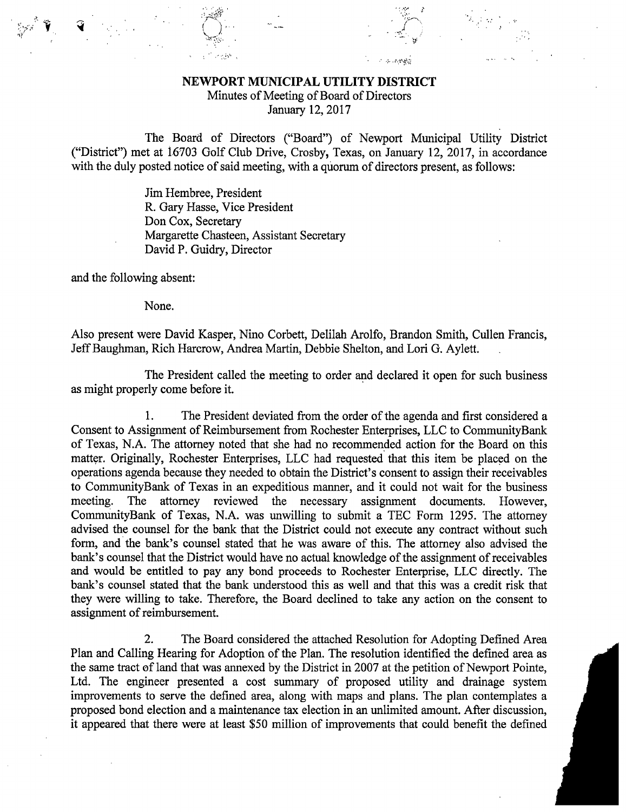## NEWPORT MUNICIPAL UTILITY DISTRICT

Minutes of Meeting of Board of Directors

January 12, 2017

The Board of Directors ("Board") of Newport Municipal Utility District ("District") met at 16703 Golf Club Drive, Crosby, Texas, on January 12, 2017, in accordance with the duly posted notice of said meeting, with a quorum of directors present, as follows:

> Jim Hembree, President R. Gary Hasse, Vice President Don Cox, Secretary Margarette Chasteen, Assistant Secretary David P. Guidry, Director

and the following absent:

None.

Also present were David Kasper, Nino Corbett, Delilah Arolfo, Brandon Smith, Cullen Francis, Jeff Baughman, Rich Harcrow, Andrea Martin, Debbie Shelton, and Lori G. Aylett.

The President called the meeting to order and declared it open for such business as might properly come before it.

1. The President deviated from the order of the agenda and first considered a Consent to Assignment of Reimbursement from Rochester Enterprises, LLC to CommunityBank of Texas, N.A. The attorney noted that she had no recommended action for the Board on this matter. Originally, Rochester Enterprises, LLC had requested that this item be placed on the operations agenda because they needed to obtain the District's consent to assign their receivables to CommunityBank of Texas in an expeditious manner, and it could not wait for the business meeting. The attorney reviewed the necessary assignment documents. However, CommunityBank of Texas, N.A. was unwilling to submit a TEC Form 1295. The attorney advised the counsel for the bank that the District could not execute any contract without such form, and the bank's counsel stated that he was aware of this. The attorney also advised the bank's counsel that the District would have no actual knowledge of the assignment of receivables and would be entitled to pay any bond proceeds to Rochester Enterprise, LLC directly. The bank's counsel stated that the bank understood this as well and that this was a credit risk that they were willing to take. Therefore, the Board declined to take any action on the consent to assignment of reimbursement.

2. The Board considered the attached Resolution for Adopting Defined Area Plan and Calling Hearing for Adoption of the Plan. The resolution identified the defined area as the same tract of land that was annexed by the District in 2007 at the petition of Newport Pointe, Ltd. The engineer presented a cost summary of proposed utility and drainage system improvements to serve the defined area, along with maps and plans. The plan contemplates a proposed bond election and a maintenance tax election in an unlimited amount. After discussion, it appeared that there were at least \$50 million of improvements that could benefit the defined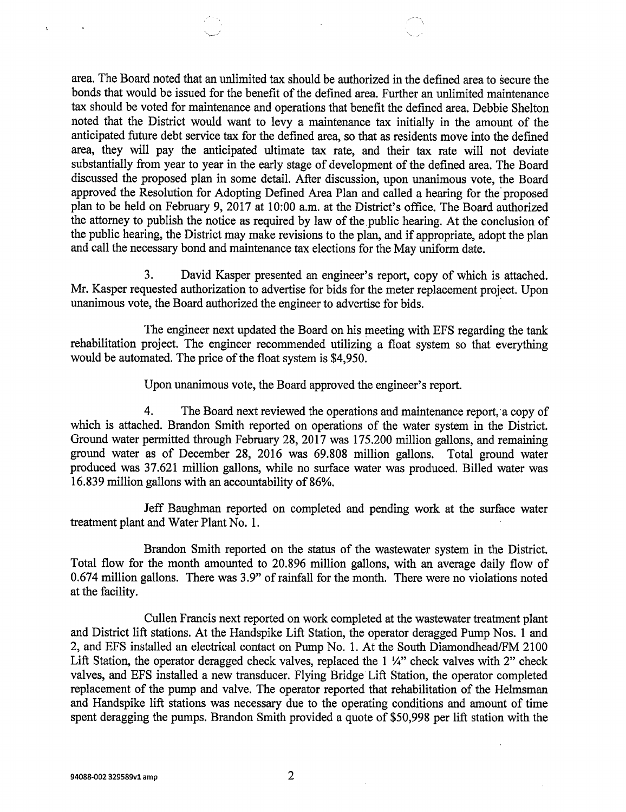area. The Board noted that an unlimited tax should be authorized in the defined area to secure the bonds that would be issued for the benefit of the defined area. Further an unlimited maintenance tax should be voted for maintenance and operations that benefit the defined area. Debbie Shelton noted that the District would want to levy a maintenance tax initially in the amount of the anticipated future debt service tax for the defined area, so that as residents move into the defined area, they will pay the anticipated ultimate tax rate, and their tax rate will not deviate substantially from year to year in the early stage of development of the defined area. The Board discussed the proposed plan in some detail. After discussion, upon unanimous vote, the Board approved the Resolution for Adopting Defined Area Plan and called a hearing for the proposed plan to be held on February 9, 2017 at 10:00 a.m. at the District's office. The Board authorized the attorney to publish the notice as required by law of the public hearing. At the conclusion of the public hearing, the District may make revisions to the plan, and if appropriate, adopt the plan and call the necessary bond and maintenance tax elections for the May uniform date.

3. David Kasper presented an engineer's report, copy of which is attached. Mr. Kasper requested authorization to advertise for bids for the meter replacement project. Upon unanimous vote, the Board authorized the engineer to advertise for bids.

The engineer next updated the Board on his meeting with EFS regarding the tank rehabilitation project. The engineer recommended utilizing a float system so that everything would be automated. The price of the float system is \$4,950.

Upon unanimous vote, the Board approved the engineer's report.

4. The Board next reviewed the operations and maintenance report,'a copy of which is attached. Brandon Smith reported on operations of the water system in the District. Ground water permitted through February 28, 2017 was 175.200 million gallons, and remaining ground water as of December 28, 2016 was 69.808 million gallons. Total ground water produced was 37.621 million gallons, while no surface water was produced. Billed water was 16.839 million gallons with an accountability of 86%.

Jeff Baughman reported on completed and pending work at the surface water treatment plant and Water Plant No. 1.

Brandon Smith reported on the status of the wastewater system in the District. Total flow for the month amounted to 20.896 million gallons, with an average daily flow of 0.674 million gallons. There was 3.9" of rainfall for the month. There were no violations noted at the facility.

Cullen Francis next reported on work completed at the wastewater treatment plant and District lift stations. At the Handspike Lift Station, the operator deragged Pump Nos. 1 and 2, and EFS installed an electrical contact on Pump No. 1. At the South Diamondhead/FM 2100 Lift Station, the operator deragged check valves, replaced the  $1 \frac{1}{4}$ " check valves with 2" check valves, and EFS installed a new transducer. Flying Bridge Lift Station, the operator completed replacement of the pump and valve. The operator reported that rehabilitation of the Helmsman and Handspike lift stations was necessary due to the operating conditions and amount of time spent deragging the pumps. Brandon Smith provided a quote of \$50,998 per lift station with the

 $\lambda$